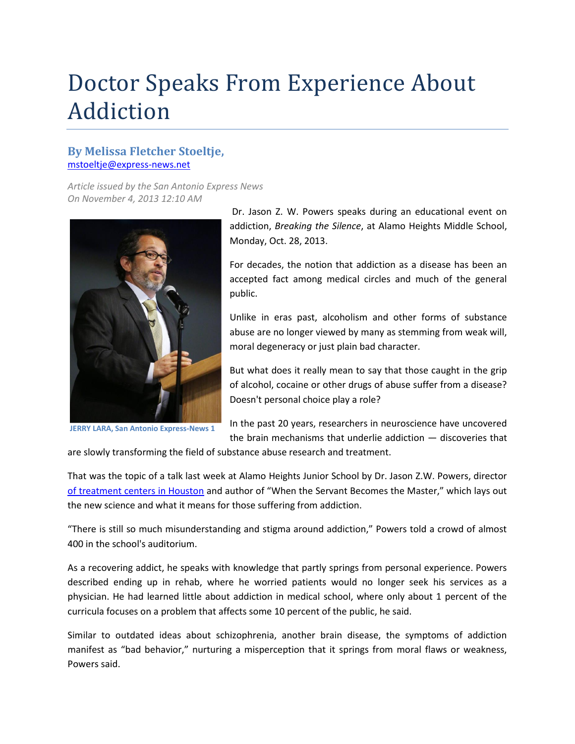## Doctor Speaks From Experience About Addiction

## **By Melissa Fletcher Stoeltje,** [mstoeltje@express-news.net](file://Server/Users/CGomez/_PDAP/Articles/mstoeltje@express-news.net)

*Article issued by the San Antonio Express News On November 4, 2013 12:10 AM*



**JERRY LARA, San Antonio Express-News 1**

Dr. Jason Z. W. Powers speaks during an educational event on addiction, *Breaking the Silence*, at Alamo Heights Middle School, Monday, Oct. 28, 2013.

For decades, the notion that addiction as a disease has been an accepted fact among medical circles and much of the general public.

Unlike in eras past, alcoholism and other forms of substance abuse are no longer viewed by many as stemming from weak will, moral degeneracy or just plain bad character.

But what does it really mean to say that those caught in the grip of alcohol, cocaine or other drugs of abuse suffer from a disease? Doesn't personal choice play a role?

In the past 20 years, researchers in neuroscience have uncovered the brain mechanisms that underlie addiction — discoveries that

are slowly transforming the field of substance abuse research and treatment.

That was the topic of a talk last week at Alamo Heights Junior School by Dr. Jason Z.W. Powers, director [of treatment centers in Houston](http://www.rightstep.com/about-us/staff/) and author of "When the Servant Becomes the Master," which lays out the new science and what it means for those suffering from addiction.

"There is still so much misunderstanding and stigma around addiction," Powers told a crowd of almost 400 in the school's auditorium.

As a recovering addict, he speaks with knowledge that partly springs from personal experience. Powers described ending up in rehab, where he worried patients would no longer seek his services as a physician. He had learned little about addiction in medical school, where only about 1 percent of the curricula focuses on a problem that affects some 10 percent of the public, he said.

Similar to outdated ideas about schizophrenia, another brain disease, the symptoms of addiction manifest as "bad behavior," nurturing a misperception that it springs from moral flaws or weakness, Powers said.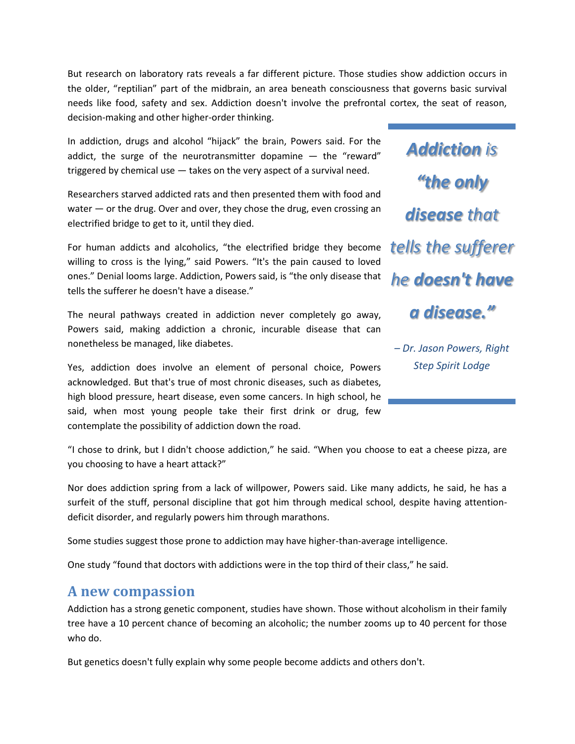But research on laboratory rats reveals a far different picture. Those studies show addiction occurs in the older, "reptilian" part of the midbrain, an area beneath consciousness that governs basic survival needs like food, safety and sex. Addiction doesn't involve the prefrontal cortex, the seat of reason, decision-making and other higher-order thinking.

In addiction, drugs and alcohol "hijack" the brain, Powers said. For the addict, the surge of the neurotransmitter dopamine  $-$  the "reward" triggered by chemical use — takes on the very aspect of a survival need.

Researchers starved addicted rats and then presented them with food and water — or the drug. Over and over, they chose the drug, even crossing an electrified bridge to get to it, until they died.

For human addicts and alcoholics, "the electrified bridge they become willing to cross is the lying," said Powers. "It's the pain caused to loved ones." Denial looms large. Addiction, Powers said, is "the only disease that tells the sufferer he doesn't have a disease."

The neural pathways created in addiction never completely go away, Powers said, making addiction a chronic, incurable disease that can nonetheless be managed, like diabetes.

Yes, addiction does involve an element of personal choice, Powers acknowledged. But that's true of most chronic diseases, such as diabetes, high blood pressure, heart disease, even some cancers. In high school, he said, when most young people take their first drink or drug, few contemplate the possibility of addiction down the road.

*Addiction is "the only disease that tells the sufferer he doesn't have a disease."*

*– Dr. Jason Powers, Right Step Spirit Lodge*

"I chose to drink, but I didn't choose addiction," he said. "When you choose to eat a cheese pizza, are you choosing to have a heart attack?"

Nor does addiction spring from a lack of willpower, Powers said. Like many addicts, he said, he has a surfeit of the stuff, personal discipline that got him through medical school, despite having attentiondeficit disorder, and regularly powers him through marathons.

Some studies suggest those prone to addiction may have higher-than-average intelligence.

One study "found that doctors with addictions were in the top third of their class," he said.

## **A new compassion**

Addiction has a strong genetic component, studies have shown. Those without alcoholism in their family tree have a 10 percent chance of becoming an alcoholic; the number zooms up to 40 percent for those who do.

But genetics doesn't fully explain why some people become addicts and others don't.